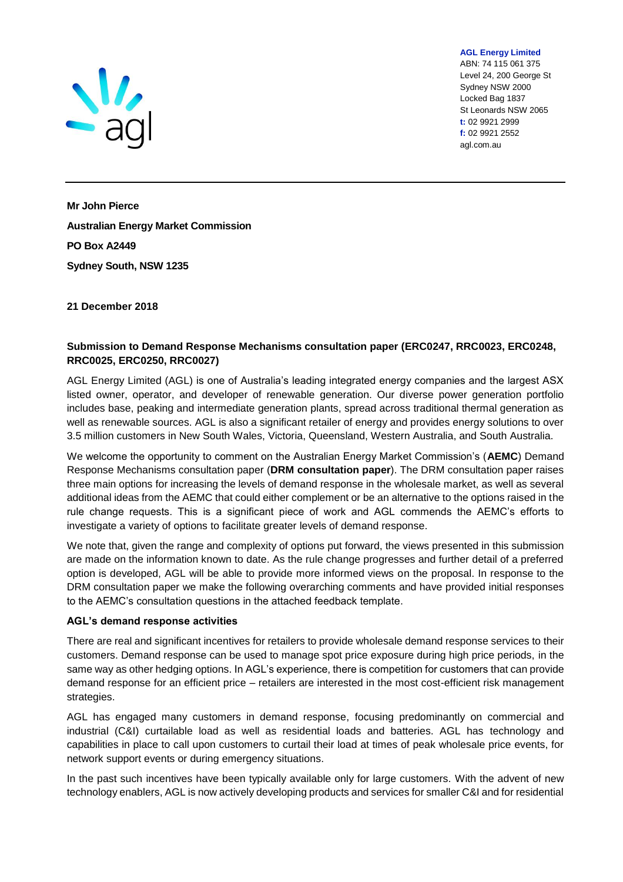

ABN: 74 115 061 375 Level 24, 200 George St Sydney NSW 2000 Locked Bag 1837 St Leonards NSW 2065 **t:** 02 9921 2999 **f:** 02 9921 2552 agl.com.au

**AGL Energy Limited**

**Mr John Pierce Australian Energy Market Commission PO Box A2449 Sydney South, NSW 1235**

## **21 December 2018**

## **Submission to Demand Response Mechanisms consultation paper (ERC0247, RRC0023, ERC0248, RRC0025, ERC0250, RRC0027)**

AGL Energy Limited (AGL) is one of Australia's leading integrated energy companies and the largest ASX listed owner, operator, and developer of renewable generation. Our diverse power generation portfolio includes base, peaking and intermediate generation plants, spread across traditional thermal generation as well as renewable sources. AGL is also a significant retailer of energy and provides energy solutions to over 3.5 million customers in New South Wales, Victoria, Queensland, Western Australia, and South Australia.

We welcome the opportunity to comment on the Australian Energy Market Commission's (**AEMC**) Demand Response Mechanisms consultation paper (**DRM consultation paper**). The DRM consultation paper raises three main options for increasing the levels of demand response in the wholesale market, as well as several additional ideas from the AEMC that could either complement or be an alternative to the options raised in the rule change requests. This is a significant piece of work and AGL commends the AEMC's efforts to investigate a variety of options to facilitate greater levels of demand response.

We note that, given the range and complexity of options put forward, the views presented in this submission are made on the information known to date. As the rule change progresses and further detail of a preferred option is developed, AGL will be able to provide more informed views on the proposal. In response to the DRM consultation paper we make the following overarching comments and have provided initial responses to the AEMC's consultation questions in the attached feedback template.

### **AGL's demand response activities**

There are real and significant incentives for retailers to provide wholesale demand response services to their customers. Demand response can be used to manage spot price exposure during high price periods, in the same way as other hedging options. In AGL's experience, there is competition for customers that can provide demand response for an efficient price – retailers are interested in the most cost-efficient risk management strategies.

AGL has engaged many customers in demand response, focusing predominantly on commercial and industrial (C&I) curtailable load as well as residential loads and batteries. AGL has technology and capabilities in place to call upon customers to curtail their load at times of peak wholesale price events, for network support events or during emergency situations.

In the past such incentives have been typically available only for large customers. With the advent of new technology enablers, AGL is now actively developing products and services for smaller C&I and for residential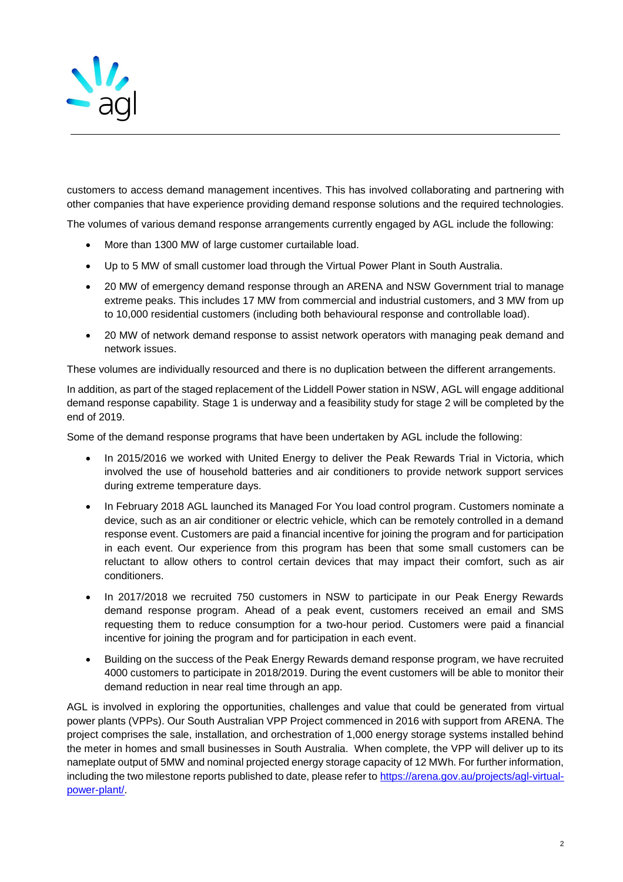

customers to access demand management incentives. This has involved collaborating and partnering with other companies that have experience providing demand response solutions and the required technologies.

The volumes of various demand response arrangements currently engaged by AGL include the following:

- More than 1300 MW of large customer curtailable load.
- Up to 5 MW of small customer load through the Virtual Power Plant in South Australia.
- 20 MW of emergency demand response through an ARENA and NSW Government trial to manage extreme peaks. This includes 17 MW from commercial and industrial customers, and 3 MW from up to 10,000 residential customers (including both behavioural response and controllable load).
- 20 MW of network demand response to assist network operators with managing peak demand and network issues.

These volumes are individually resourced and there is no duplication between the different arrangements.

In addition, as part of the staged replacement of the Liddell Power station in NSW, AGL will engage additional demand response capability. Stage 1 is underway and a feasibility study for stage 2 will be completed by the end of 2019.

Some of the demand response programs that have been undertaken by AGL include the following:

- In 2015/2016 we worked with United Energy to deliver the Peak Rewards Trial in Victoria, which involved the use of household batteries and air conditioners to provide network support services during extreme temperature days.
- In February 2018 AGL launched its Managed For You load control program. Customers nominate a device, such as an air conditioner or electric vehicle, which can be remotely controlled in a demand response event. Customers are paid a financial incentive for joining the program and for participation in each event. Our experience from this program has been that some small customers can be reluctant to allow others to control certain devices that may impact their comfort, such as air conditioners.
- In 2017/2018 we recruited 750 customers in NSW to participate in our Peak Energy Rewards demand response program. Ahead of a peak event, customers received an email and SMS requesting them to reduce consumption for a two-hour period. Customers were paid a financial incentive for joining the program and for participation in each event.
- Building on the success of the Peak Energy Rewards demand response program, we have recruited 4000 customers to participate in 2018/2019. During the event customers will be able to monitor their demand reduction in near real time through an app.

AGL is involved in exploring the opportunities, challenges and value that could be generated from virtual power plants (VPPs). Our South Australian VPP Project commenced in 2016 with support from ARENA. The project comprises the sale, installation, and orchestration of 1,000 energy storage systems installed behind the meter in homes and small businesses in South Australia. When complete, the VPP will deliver up to its nameplate output of 5MW and nominal projected energy storage capacity of 12 MWh. For further information, including the two milestone reports published to date, please refer to [https://arena.gov.au/projects/agl-virtual](https://arena.gov.au/projects/agl-virtual-power-plant/)[power-plant/.](https://arena.gov.au/projects/agl-virtual-power-plant/)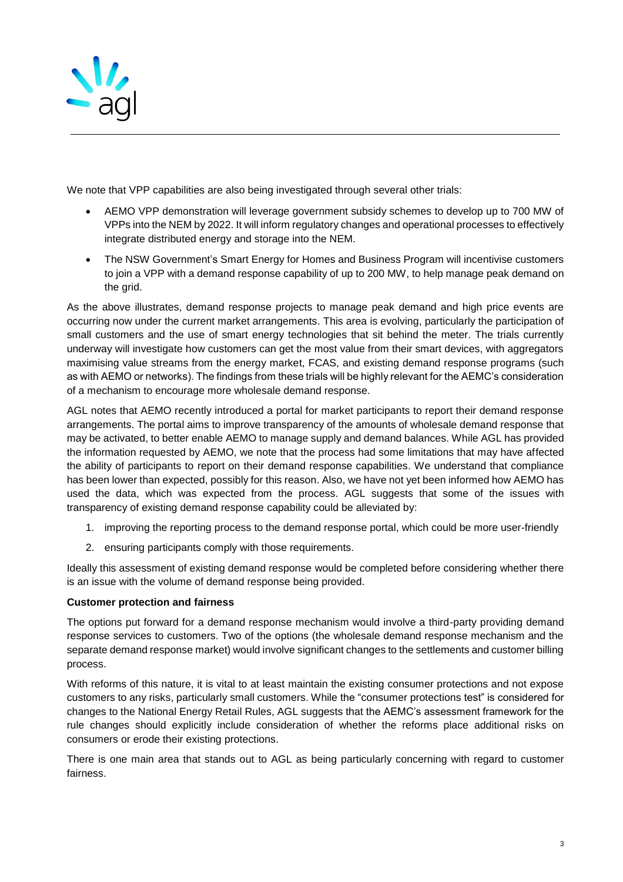

We note that VPP capabilities are also being investigated through several other trials:

- AEMO VPP demonstration will leverage government subsidy schemes to develop up to 700 MW of VPPs into the NEM by 2022. It will inform regulatory changes and operational processes to effectively integrate distributed energy and storage into the NEM.
- The NSW Government's Smart Energy for Homes and Business Program will incentivise customers to join a VPP with a demand response capability of up to 200 MW, to help manage peak demand on the grid.

As the above illustrates, demand response projects to manage peak demand and high price events are occurring now under the current market arrangements. This area is evolving, particularly the participation of small customers and the use of smart energy technologies that sit behind the meter. The trials currently underway will investigate how customers can get the most value from their smart devices, with aggregators maximising value streams from the energy market, FCAS, and existing demand response programs (such as with AEMO or networks). The findings from these trials will be highly relevant for the AEMC's consideration of a mechanism to encourage more wholesale demand response.

AGL notes that AEMO recently introduced a portal for market participants to report their demand response arrangements. The portal aims to improve transparency of the amounts of wholesale demand response that may be activated, to better enable AEMO to manage supply and demand balances. While AGL has provided the information requested by AEMO, we note that the process had some limitations that may have affected the ability of participants to report on their demand response capabilities. We understand that compliance has been lower than expected, possibly for this reason. Also, we have not yet been informed how AEMO has used the data, which was expected from the process. AGL suggests that some of the issues with transparency of existing demand response capability could be alleviated by:

- 1. improving the reporting process to the demand response portal, which could be more user-friendly
- 2. ensuring participants comply with those requirements.

Ideally this assessment of existing demand response would be completed before considering whether there is an issue with the volume of demand response being provided.

# **Customer protection and fairness**

The options put forward for a demand response mechanism would involve a third-party providing demand response services to customers. Two of the options (the wholesale demand response mechanism and the separate demand response market) would involve significant changes to the settlements and customer billing process.

With reforms of this nature, it is vital to at least maintain the existing consumer protections and not expose customers to any risks, particularly small customers. While the "consumer protections test" is considered for changes to the National Energy Retail Rules, AGL suggests that the AEMC's assessment framework for the rule changes should explicitly include consideration of whether the reforms place additional risks on consumers or erode their existing protections.

There is one main area that stands out to AGL as being particularly concerning with regard to customer fairness.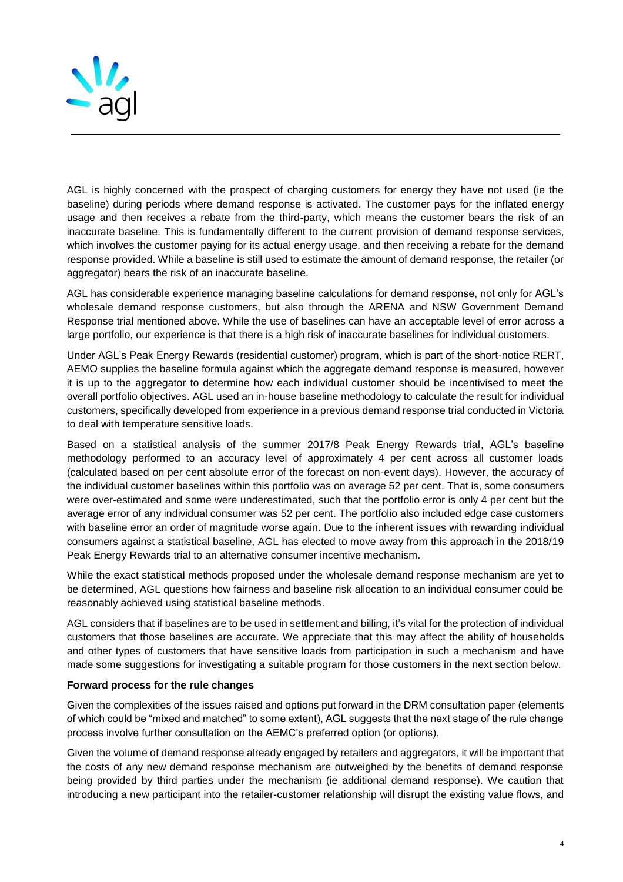

AGL is highly concerned with the prospect of charging customers for energy they have not used (ie the baseline) during periods where demand response is activated. The customer pays for the inflated energy usage and then receives a rebate from the third-party, which means the customer bears the risk of an inaccurate baseline. This is fundamentally different to the current provision of demand response services, which involves the customer paying for its actual energy usage, and then receiving a rebate for the demand response provided. While a baseline is still used to estimate the amount of demand response, the retailer (or aggregator) bears the risk of an inaccurate baseline.

AGL has considerable experience managing baseline calculations for demand response, not only for AGL's wholesale demand response customers, but also through the ARENA and NSW Government Demand Response trial mentioned above. While the use of baselines can have an acceptable level of error across a large portfolio, our experience is that there is a high risk of inaccurate baselines for individual customers.

Under AGL's Peak Energy Rewards (residential customer) program, which is part of the short-notice RERT, AEMO supplies the baseline formula against which the aggregate demand response is measured, however it is up to the aggregator to determine how each individual customer should be incentivised to meet the overall portfolio objectives. AGL used an in-house baseline methodology to calculate the result for individual customers, specifically developed from experience in a previous demand response trial conducted in Victoria to deal with temperature sensitive loads.

Based on a statistical analysis of the summer 2017/8 Peak Energy Rewards trial, AGL's baseline methodology performed to an accuracy level of approximately 4 per cent across all customer loads (calculated based on per cent absolute error of the forecast on non-event days). However, the accuracy of the individual customer baselines within this portfolio was on average 52 per cent. That is, some consumers were over-estimated and some were underestimated, such that the portfolio error is only 4 per cent but the average error of any individual consumer was 52 per cent. The portfolio also included edge case customers with baseline error an order of magnitude worse again. Due to the inherent issues with rewarding individual consumers against a statistical baseline, AGL has elected to move away from this approach in the 2018/19 Peak Energy Rewards trial to an alternative consumer incentive mechanism.

While the exact statistical methods proposed under the wholesale demand response mechanism are yet to be determined, AGL questions how fairness and baseline risk allocation to an individual consumer could be reasonably achieved using statistical baseline methods.

AGL considers that if baselines are to be used in settlement and billing, it's vital for the protection of individual customers that those baselines are accurate. We appreciate that this may affect the ability of households and other types of customers that have sensitive loads from participation in such a mechanism and have made some suggestions for investigating a suitable program for those customers in the next section below.

### **Forward process for the rule changes**

Given the complexities of the issues raised and options put forward in the DRM consultation paper (elements of which could be "mixed and matched" to some extent), AGL suggests that the next stage of the rule change process involve further consultation on the AEMC's preferred option (or options).

Given the volume of demand response already engaged by retailers and aggregators, it will be important that the costs of any new demand response mechanism are outweighed by the benefits of demand response being provided by third parties under the mechanism (ie additional demand response). We caution that introducing a new participant into the retailer-customer relationship will disrupt the existing value flows, and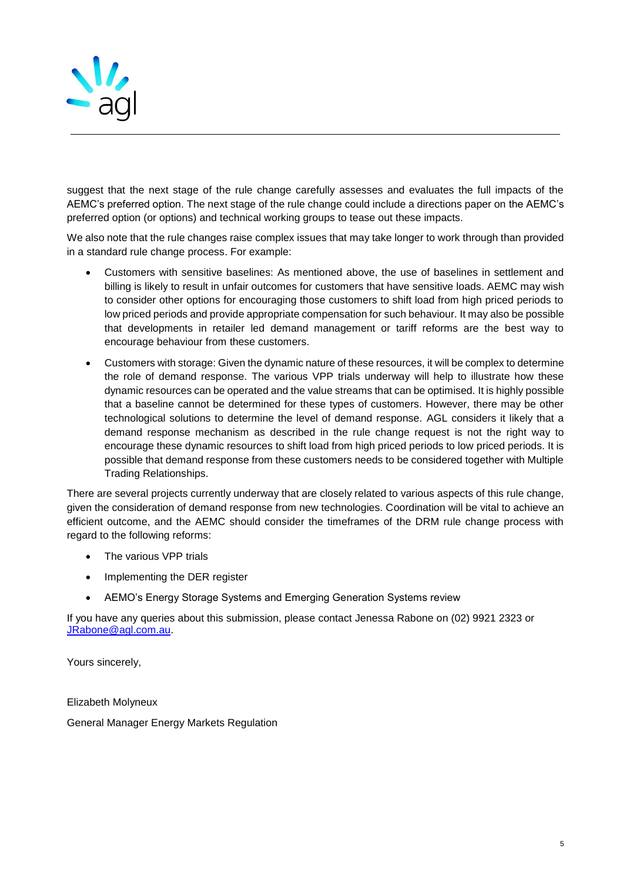

suggest that the next stage of the rule change carefully assesses and evaluates the full impacts of the AEMC's preferred option. The next stage of the rule change could include a directions paper on the AEMC's preferred option (or options) and technical working groups to tease out these impacts.

We also note that the rule changes raise complex issues that may take longer to work through than provided in a standard rule change process. For example:

- Customers with sensitive baselines: As mentioned above, the use of baselines in settlement and billing is likely to result in unfair outcomes for customers that have sensitive loads. AEMC may wish to consider other options for encouraging those customers to shift load from high priced periods to low priced periods and provide appropriate compensation for such behaviour. It may also be possible that developments in retailer led demand management or tariff reforms are the best way to encourage behaviour from these customers.
- Customers with storage: Given the dynamic nature of these resources, it will be complex to determine the role of demand response. The various VPP trials underway will help to illustrate how these dynamic resources can be operated and the value streams that can be optimised. It is highly possible that a baseline cannot be determined for these types of customers. However, there may be other technological solutions to determine the level of demand response. AGL considers it likely that a demand response mechanism as described in the rule change request is not the right way to encourage these dynamic resources to shift load from high priced periods to low priced periods. It is possible that demand response from these customers needs to be considered together with Multiple Trading Relationships.

There are several projects currently underway that are closely related to various aspects of this rule change, given the consideration of demand response from new technologies. Coordination will be vital to achieve an efficient outcome, and the AEMC should consider the timeframes of the DRM rule change process with regard to the following reforms:

- The various VPP trials
- Implementing the DER register
- AEMO's Energy Storage Systems and Emerging Generation Systems review

If you have any queries about this submission, please contact Jenessa Rabone on (02) 9921 2323 or [JRabone@agl.com.au.](mailto:JRabone@agl.com.au)

Yours sincerely,

Elizabeth Molyneux

General Manager Energy Markets Regulation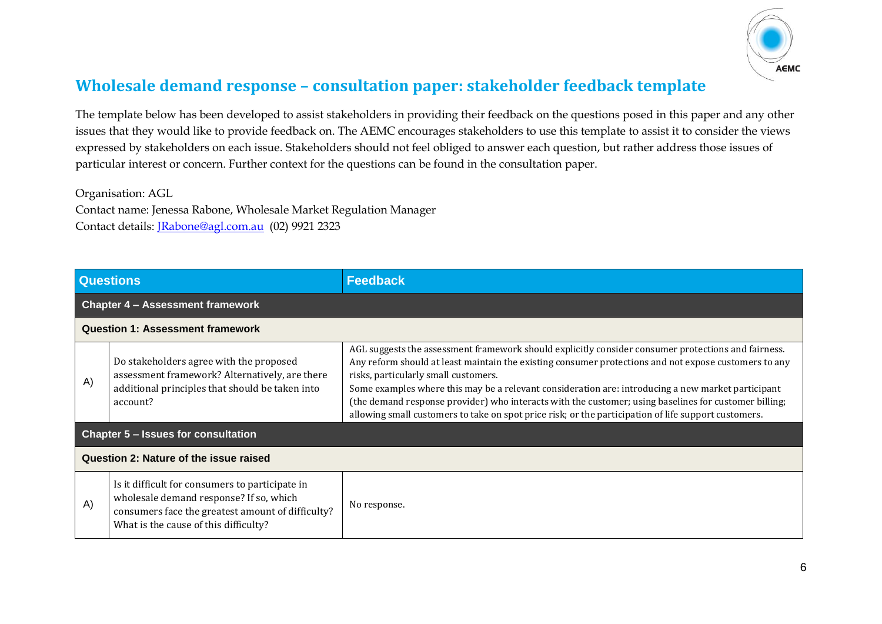

# **Wholesale demand response – consultation paper: stakeholder feedback template**

The template below has been developed to assist stakeholders in providing their feedback on the questions posed in this paper and any other issues that they would like to provide feedback on. The AEMC encourages stakeholders to use this template to assist it to consider the views expressed by stakeholders on each issue. Stakeholders should not feel obliged to answer each question, but rather address those issues of particular interest or concern. Further context for the questions can be found in the consultation paper.

Organisation: AGL

Contact name: Jenessa Rabone, Wholesale Market Regulation Manager Contact details: [JRabone@agl.com.au](mailto:JRabone@agl.com.au) (02) 9921 2323

| <b>Questions</b> |                                                                                                                                                                                          | <b>Feedback</b>                                                                                                                                                                                                                                                                                                                                                                                                                                                                                                                                                             |  |
|------------------|------------------------------------------------------------------------------------------------------------------------------------------------------------------------------------------|-----------------------------------------------------------------------------------------------------------------------------------------------------------------------------------------------------------------------------------------------------------------------------------------------------------------------------------------------------------------------------------------------------------------------------------------------------------------------------------------------------------------------------------------------------------------------------|--|
|                  | <b>Chapter 4 - Assessment framework</b>                                                                                                                                                  |                                                                                                                                                                                                                                                                                                                                                                                                                                                                                                                                                                             |  |
|                  | <b>Question 1: Assessment framework</b>                                                                                                                                                  |                                                                                                                                                                                                                                                                                                                                                                                                                                                                                                                                                                             |  |
| (A)              | Do stakeholders agree with the proposed<br>assessment framework? Alternatively, are there<br>additional principles that should be taken into<br>account?                                 | AGL suggests the assessment framework should explicitly consider consumer protections and fairness.<br>Any reform should at least maintain the existing consumer protections and not expose customers to any<br>risks, particularly small customers.<br>Some examples where this may be a relevant consideration are: introducing a new market participant<br>(the demand response provider) who interacts with the customer; using baselines for customer billing;<br>allowing small customers to take on spot price risk; or the participation of life support customers. |  |
|                  | <b>Chapter 5 - Issues for consultation</b>                                                                                                                                               |                                                                                                                                                                                                                                                                                                                                                                                                                                                                                                                                                                             |  |
|                  | Question 2: Nature of the issue raised                                                                                                                                                   |                                                                                                                                                                                                                                                                                                                                                                                                                                                                                                                                                                             |  |
| A)               | Is it difficult for consumers to participate in<br>wholesale demand response? If so, which<br>consumers face the greatest amount of difficulty?<br>What is the cause of this difficulty? | No response.                                                                                                                                                                                                                                                                                                                                                                                                                                                                                                                                                                |  |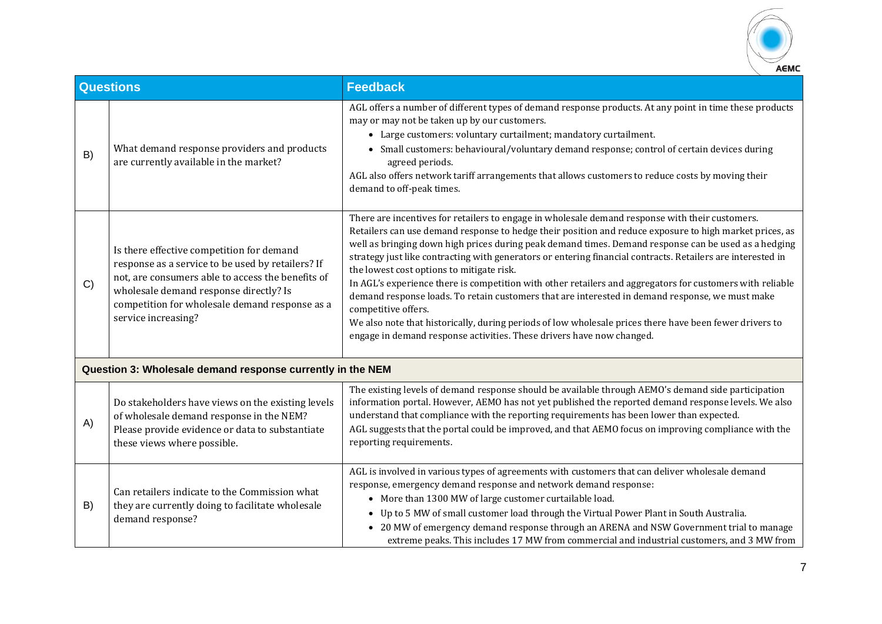

|    | <b>Questions</b>                                                                                                                                                                                                                                                       | <b>Feedback</b>                                                                                                                                                                                                                                                                                                                                                                                                                                                                                                                                                                                                                                                                                                                                                                                                                                                                                           |
|----|------------------------------------------------------------------------------------------------------------------------------------------------------------------------------------------------------------------------------------------------------------------------|-----------------------------------------------------------------------------------------------------------------------------------------------------------------------------------------------------------------------------------------------------------------------------------------------------------------------------------------------------------------------------------------------------------------------------------------------------------------------------------------------------------------------------------------------------------------------------------------------------------------------------------------------------------------------------------------------------------------------------------------------------------------------------------------------------------------------------------------------------------------------------------------------------------|
| B) | What demand response providers and products<br>are currently available in the market?                                                                                                                                                                                  | AGL offers a number of different types of demand response products. At any point in time these products<br>may or may not be taken up by our customers.<br>• Large customers: voluntary curtailment; mandatory curtailment.<br>• Small customers: behavioural/voluntary demand response; control of certain devices during<br>agreed periods.<br>AGL also offers network tariff arrangements that allows customers to reduce costs by moving their<br>demand to off-peak times.                                                                                                                                                                                                                                                                                                                                                                                                                           |
| C) | Is there effective competition for demand<br>response as a service to be used by retailers? If<br>not, are consumers able to access the benefits of<br>wholesale demand response directly? Is<br>competition for wholesale demand response as a<br>service increasing? | There are incentives for retailers to engage in wholesale demand response with their customers.<br>Retailers can use demand response to hedge their position and reduce exposure to high market prices, as<br>well as bringing down high prices during peak demand times. Demand response can be used as a hedging<br>strategy just like contracting with generators or entering financial contracts. Retailers are interested in<br>the lowest cost options to mitigate risk.<br>In AGL's experience there is competition with other retailers and aggregators for customers with reliable<br>demand response loads. To retain customers that are interested in demand response, we must make<br>competitive offers.<br>We also note that historically, during periods of low wholesale prices there have been fewer drivers to<br>engage in demand response activities. These drivers have now changed. |
|    | Question 3: Wholesale demand response currently in the NEM                                                                                                                                                                                                             |                                                                                                                                                                                                                                                                                                                                                                                                                                                                                                                                                                                                                                                                                                                                                                                                                                                                                                           |
| A) | Do stakeholders have views on the existing levels<br>of wholesale demand response in the NEM?<br>Please provide evidence or data to substantiate<br>these views where possible.                                                                                        | The existing levels of demand response should be available through AEMO's demand side participation<br>information portal. However, AEMO has not yet published the reported demand response levels. We also<br>understand that compliance with the reporting requirements has been lower than expected.<br>AGL suggests that the portal could be improved, and that AEMO focus on improving compliance with the<br>reporting requirements.                                                                                                                                                                                                                                                                                                                                                                                                                                                                |
| B) | Can retailers indicate to the Commission what<br>they are currently doing to facilitate wholesale<br>demand response?                                                                                                                                                  | AGL is involved in various types of agreements with customers that can deliver wholesale demand<br>response, emergency demand response and network demand response:<br>• More than 1300 MW of large customer curtailable load.<br>• Up to 5 MW of small customer load through the Virtual Power Plant in South Australia.<br>• 20 MW of emergency demand response through an ARENA and NSW Government trial to manage<br>extreme peaks. This includes 17 MW from commercial and industrial customers, and 3 MW from                                                                                                                                                                                                                                                                                                                                                                                       |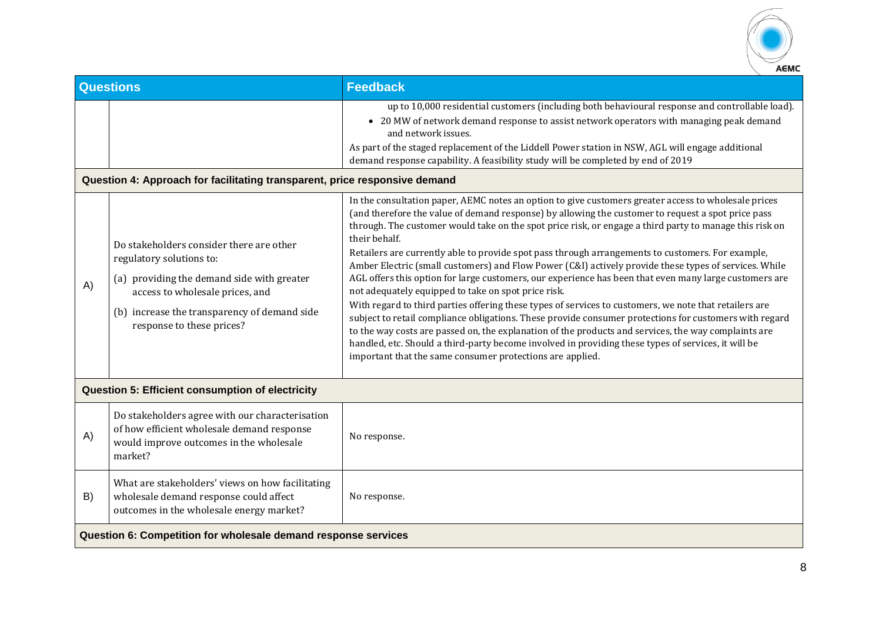

|    | <b>Questions</b>                                                                                                                                                                                                                   | <b>Feedback</b>                                                                                                                                                                                                                                                                                                                                                                                                                                                                                                                                                                                                                                                                                                                                                                                                                                                                                                                                                                                                                                                                                                                                                                                                       |  |
|----|------------------------------------------------------------------------------------------------------------------------------------------------------------------------------------------------------------------------------------|-----------------------------------------------------------------------------------------------------------------------------------------------------------------------------------------------------------------------------------------------------------------------------------------------------------------------------------------------------------------------------------------------------------------------------------------------------------------------------------------------------------------------------------------------------------------------------------------------------------------------------------------------------------------------------------------------------------------------------------------------------------------------------------------------------------------------------------------------------------------------------------------------------------------------------------------------------------------------------------------------------------------------------------------------------------------------------------------------------------------------------------------------------------------------------------------------------------------------|--|
|    | Question 4: Approach for facilitating transparent, price responsive demand                                                                                                                                                         | up to 10,000 residential customers (including both behavioural response and controllable load).<br>• 20 MW of network demand response to assist network operators with managing peak demand<br>and network issues.<br>As part of the staged replacement of the Liddell Power station in NSW, AGL will engage additional<br>demand response capability. A feasibility study will be completed by end of 2019                                                                                                                                                                                                                                                                                                                                                                                                                                                                                                                                                                                                                                                                                                                                                                                                           |  |
| A) | Do stakeholders consider there are other<br>regulatory solutions to:<br>(a) providing the demand side with greater<br>access to wholesale prices, and<br>(b) increase the transparency of demand side<br>response to these prices? | In the consultation paper, AEMC notes an option to give customers greater access to wholesale prices<br>(and therefore the value of demand response) by allowing the customer to request a spot price pass<br>through. The customer would take on the spot price risk, or engage a third party to manage this risk on<br>their behalf.<br>Retailers are currently able to provide spot pass through arrangements to customers. For example,<br>Amber Electric (small customers) and Flow Power (C&I) actively provide these types of services. While<br>AGL offers this option for large customers, our experience has been that even many large customers are<br>not adequately equipped to take on spot price risk.<br>With regard to third parties offering these types of services to customers, we note that retailers are<br>subject to retail compliance obligations. These provide consumer protections for customers with regard<br>to the way costs are passed on, the explanation of the products and services, the way complaints are<br>handled, etc. Should a third-party become involved in providing these types of services, it will be<br>important that the same consumer protections are applied. |  |
|    | Question 5: Efficient consumption of electricity                                                                                                                                                                                   |                                                                                                                                                                                                                                                                                                                                                                                                                                                                                                                                                                                                                                                                                                                                                                                                                                                                                                                                                                                                                                                                                                                                                                                                                       |  |
| A) | Do stakeholders agree with our characterisation<br>of how efficient wholesale demand response<br>would improve outcomes in the wholesale<br>market?                                                                                | No response.                                                                                                                                                                                                                                                                                                                                                                                                                                                                                                                                                                                                                                                                                                                                                                                                                                                                                                                                                                                                                                                                                                                                                                                                          |  |
| B) | What are stakeholders' views on how facilitating<br>wholesale demand response could affect<br>outcomes in the wholesale energy market?                                                                                             | No response.                                                                                                                                                                                                                                                                                                                                                                                                                                                                                                                                                                                                                                                                                                                                                                                                                                                                                                                                                                                                                                                                                                                                                                                                          |  |
|    | Question 6: Competition for wholesale demand response services                                                                                                                                                                     |                                                                                                                                                                                                                                                                                                                                                                                                                                                                                                                                                                                                                                                                                                                                                                                                                                                                                                                                                                                                                                                                                                                                                                                                                       |  |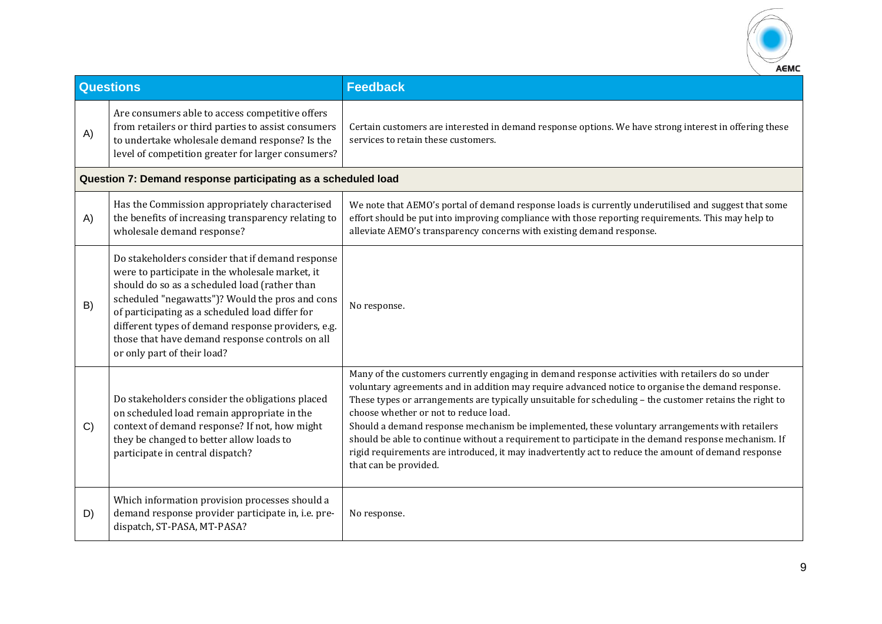

|    | <b>Questions</b>                                                                                                                                                                                                                                                                                                                                                                                   | <b>Feedback</b>                                                                                                                                                                                                                                                                                                                                                                                                                                                                                                                                                                                                                                                                                      |
|----|----------------------------------------------------------------------------------------------------------------------------------------------------------------------------------------------------------------------------------------------------------------------------------------------------------------------------------------------------------------------------------------------------|------------------------------------------------------------------------------------------------------------------------------------------------------------------------------------------------------------------------------------------------------------------------------------------------------------------------------------------------------------------------------------------------------------------------------------------------------------------------------------------------------------------------------------------------------------------------------------------------------------------------------------------------------------------------------------------------------|
| A) | Are consumers able to access competitive offers<br>from retailers or third parties to assist consumers<br>to undertake wholesale demand response? Is the<br>level of competition greater for larger consumers?                                                                                                                                                                                     | Certain customers are interested in demand response options. We have strong interest in offering these<br>services to retain these customers.                                                                                                                                                                                                                                                                                                                                                                                                                                                                                                                                                        |
|    | Question 7: Demand response participating as a scheduled load                                                                                                                                                                                                                                                                                                                                      |                                                                                                                                                                                                                                                                                                                                                                                                                                                                                                                                                                                                                                                                                                      |
| A) | Has the Commission appropriately characterised<br>the benefits of increasing transparency relating to<br>wholesale demand response?                                                                                                                                                                                                                                                                | We note that AEMO's portal of demand response loads is currently underutilised and suggest that some<br>effort should be put into improving compliance with those reporting requirements. This may help to<br>alleviate AEMO's transparency concerns with existing demand response.                                                                                                                                                                                                                                                                                                                                                                                                                  |
| B) | Do stakeholders consider that if demand response<br>were to participate in the wholesale market, it<br>should do so as a scheduled load (rather than<br>scheduled "negawatts")? Would the pros and cons<br>of participating as a scheduled load differ for<br>different types of demand response providers, e.g.<br>those that have demand response controls on all<br>or only part of their load? | No response.                                                                                                                                                                                                                                                                                                                                                                                                                                                                                                                                                                                                                                                                                         |
| C) | Do stakeholders consider the obligations placed<br>on scheduled load remain appropriate in the<br>context of demand response? If not, how might<br>they be changed to better allow loads to<br>participate in central dispatch?                                                                                                                                                                    | Many of the customers currently engaging in demand response activities with retailers do so under<br>voluntary agreements and in addition may require advanced notice to organise the demand response.<br>These types or arrangements are typically unsuitable for scheduling - the customer retains the right to<br>choose whether or not to reduce load.<br>Should a demand response mechanism be implemented, these voluntary arrangements with retailers<br>should be able to continue without a requirement to participate in the demand response mechanism. If<br>rigid requirements are introduced, it may inadvertently act to reduce the amount of demand response<br>that can be provided. |
| D) | Which information provision processes should a<br>demand response provider participate in, i.e. pre-<br>dispatch, ST-PASA, MT-PASA?                                                                                                                                                                                                                                                                | No response.                                                                                                                                                                                                                                                                                                                                                                                                                                                                                                                                                                                                                                                                                         |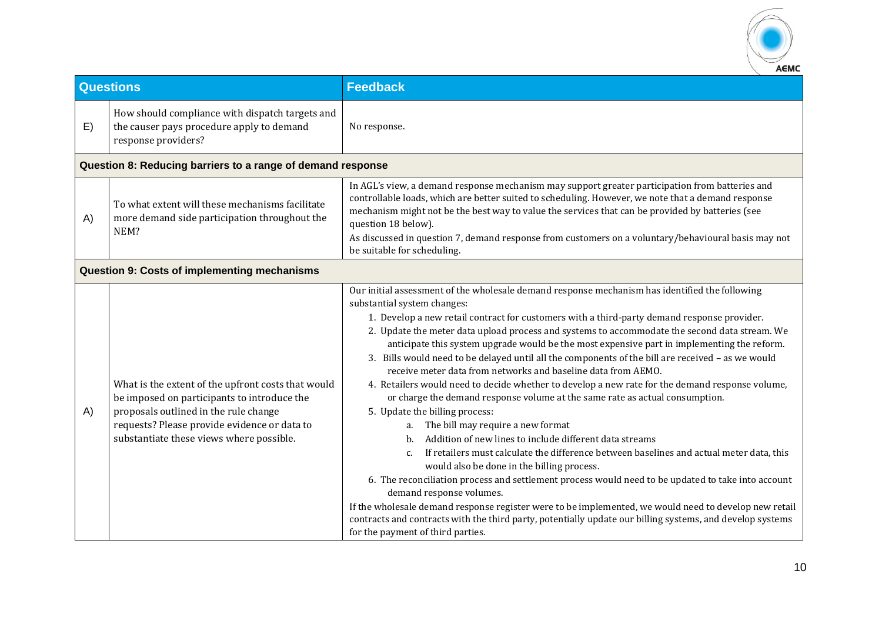

|    | <b>Questions</b>                                                                                                                                                                                                                       | <b>Feedback</b>                                                                                                                                                                                                                                                                                                                                                                                                                                                                                                                                                                                                                                                                                                                                                                                                                                                                                                                                                                                                                                                                                                                                                                                                                                                                                                                                                                                                                                                                     |
|----|----------------------------------------------------------------------------------------------------------------------------------------------------------------------------------------------------------------------------------------|-------------------------------------------------------------------------------------------------------------------------------------------------------------------------------------------------------------------------------------------------------------------------------------------------------------------------------------------------------------------------------------------------------------------------------------------------------------------------------------------------------------------------------------------------------------------------------------------------------------------------------------------------------------------------------------------------------------------------------------------------------------------------------------------------------------------------------------------------------------------------------------------------------------------------------------------------------------------------------------------------------------------------------------------------------------------------------------------------------------------------------------------------------------------------------------------------------------------------------------------------------------------------------------------------------------------------------------------------------------------------------------------------------------------------------------------------------------------------------------|
| E) | How should compliance with dispatch targets and<br>the causer pays procedure apply to demand<br>response providers?                                                                                                                    | No response.                                                                                                                                                                                                                                                                                                                                                                                                                                                                                                                                                                                                                                                                                                                                                                                                                                                                                                                                                                                                                                                                                                                                                                                                                                                                                                                                                                                                                                                                        |
|    | Question 8: Reducing barriers to a range of demand response                                                                                                                                                                            |                                                                                                                                                                                                                                                                                                                                                                                                                                                                                                                                                                                                                                                                                                                                                                                                                                                                                                                                                                                                                                                                                                                                                                                                                                                                                                                                                                                                                                                                                     |
| A) | To what extent will these mechanisms facilitate<br>more demand side participation throughout the<br>NEM?                                                                                                                               | In AGL's view, a demand response mechanism may support greater participation from batteries and<br>controllable loads, which are better suited to scheduling. However, we note that a demand response<br>mechanism might not be the best way to value the services that can be provided by batteries (see<br>question 18 below).<br>As discussed in question 7, demand response from customers on a voluntary/behavioural basis may not<br>be suitable for scheduling.                                                                                                                                                                                                                                                                                                                                                                                                                                                                                                                                                                                                                                                                                                                                                                                                                                                                                                                                                                                                              |
|    | <b>Question 9: Costs of implementing mechanisms</b>                                                                                                                                                                                    |                                                                                                                                                                                                                                                                                                                                                                                                                                                                                                                                                                                                                                                                                                                                                                                                                                                                                                                                                                                                                                                                                                                                                                                                                                                                                                                                                                                                                                                                                     |
| A) | What is the extent of the upfront costs that would<br>be imposed on participants to introduce the<br>proposals outlined in the rule change<br>requests? Please provide evidence or data to<br>substantiate these views where possible. | Our initial assessment of the wholesale demand response mechanism has identified the following<br>substantial system changes:<br>1. Develop a new retail contract for customers with a third-party demand response provider.<br>2. Update the meter data upload process and systems to accommodate the second data stream. We<br>anticipate this system upgrade would be the most expensive part in implementing the reform.<br>3. Bills would need to be delayed until all the components of the bill are received - as we would<br>receive meter data from networks and baseline data from AEMO.<br>4. Retailers would need to decide whether to develop a new rate for the demand response volume,<br>or charge the demand response volume at the same rate as actual consumption.<br>5. Update the billing process:<br>The bill may require a new format<br>Addition of new lines to include different data streams<br>b.<br>If retailers must calculate the difference between baselines and actual meter data, this<br>$C_{\cdot}$<br>would also be done in the billing process.<br>6. The reconciliation process and settlement process would need to be updated to take into account<br>demand response volumes.<br>If the wholesale demand response register were to be implemented, we would need to develop new retail<br>contracts and contracts with the third party, potentially update our billing systems, and develop systems<br>for the payment of third parties. |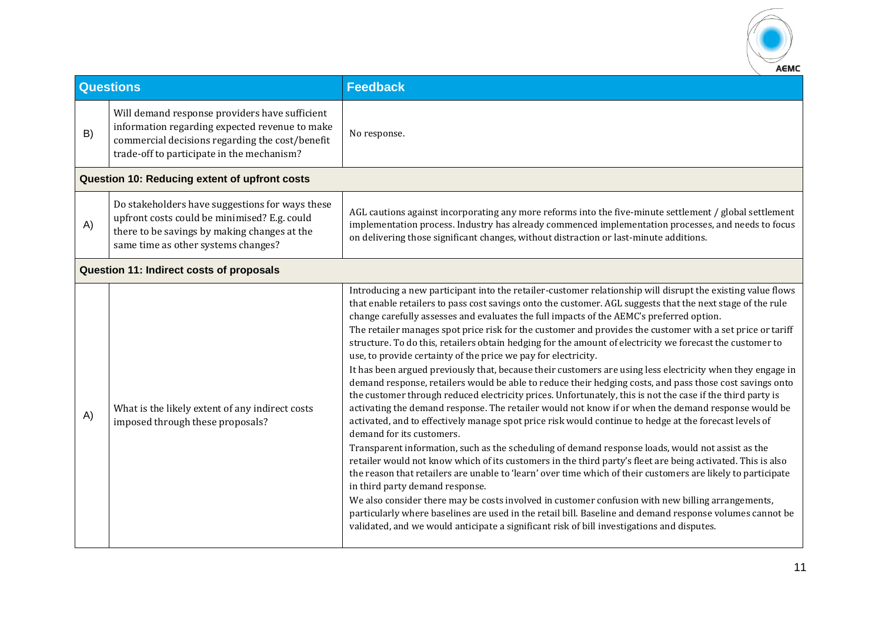

|    | <b>Questions</b>                                                                                                                                                                                  | <b>Feedback</b>                                                                                                                                                                                                                                                                                                                                                                                                                                                                                                                                                                                                                                                                                                                                                                                                                                                                                                                                                                                                                                                                                                                                                                                                                                                                                                                                                                                                                                                                                                                                                                                                                                                                                                                                                                                                                                                                                |
|----|---------------------------------------------------------------------------------------------------------------------------------------------------------------------------------------------------|------------------------------------------------------------------------------------------------------------------------------------------------------------------------------------------------------------------------------------------------------------------------------------------------------------------------------------------------------------------------------------------------------------------------------------------------------------------------------------------------------------------------------------------------------------------------------------------------------------------------------------------------------------------------------------------------------------------------------------------------------------------------------------------------------------------------------------------------------------------------------------------------------------------------------------------------------------------------------------------------------------------------------------------------------------------------------------------------------------------------------------------------------------------------------------------------------------------------------------------------------------------------------------------------------------------------------------------------------------------------------------------------------------------------------------------------------------------------------------------------------------------------------------------------------------------------------------------------------------------------------------------------------------------------------------------------------------------------------------------------------------------------------------------------------------------------------------------------------------------------------------------------|
| B) | Will demand response providers have sufficient<br>information regarding expected revenue to make<br>commercial decisions regarding the cost/benefit<br>trade-off to participate in the mechanism? | No response.                                                                                                                                                                                                                                                                                                                                                                                                                                                                                                                                                                                                                                                                                                                                                                                                                                                                                                                                                                                                                                                                                                                                                                                                                                                                                                                                                                                                                                                                                                                                                                                                                                                                                                                                                                                                                                                                                   |
|    | Question 10: Reducing extent of upfront costs                                                                                                                                                     |                                                                                                                                                                                                                                                                                                                                                                                                                                                                                                                                                                                                                                                                                                                                                                                                                                                                                                                                                                                                                                                                                                                                                                                                                                                                                                                                                                                                                                                                                                                                                                                                                                                                                                                                                                                                                                                                                                |
| A) | Do stakeholders have suggestions for ways these<br>upfront costs could be minimised? E.g. could<br>there to be savings by making changes at the<br>same time as other systems changes?            | AGL cautions against incorporating any more reforms into the five-minute settlement / global settlement<br>implementation process. Industry has already commenced implementation processes, and needs to focus<br>on delivering those significant changes, without distraction or last-minute additions.                                                                                                                                                                                                                                                                                                                                                                                                                                                                                                                                                                                                                                                                                                                                                                                                                                                                                                                                                                                                                                                                                                                                                                                                                                                                                                                                                                                                                                                                                                                                                                                       |
|    | Question 11: Indirect costs of proposals                                                                                                                                                          |                                                                                                                                                                                                                                                                                                                                                                                                                                                                                                                                                                                                                                                                                                                                                                                                                                                                                                                                                                                                                                                                                                                                                                                                                                                                                                                                                                                                                                                                                                                                                                                                                                                                                                                                                                                                                                                                                                |
| A) | What is the likely extent of any indirect costs<br>imposed through these proposals?                                                                                                               | Introducing a new participant into the retailer-customer relationship will disrupt the existing value flows<br>that enable retailers to pass cost savings onto the customer. AGL suggests that the next stage of the rule<br>change carefully assesses and evaluates the full impacts of the AEMC's preferred option.<br>The retailer manages spot price risk for the customer and provides the customer with a set price or tariff<br>structure. To do this, retailers obtain hedging for the amount of electricity we forecast the customer to<br>use, to provide certainty of the price we pay for electricity.<br>It has been argued previously that, because their customers are using less electricity when they engage in<br>demand response, retailers would be able to reduce their hedging costs, and pass those cost savings onto<br>the customer through reduced electricity prices. Unfortunately, this is not the case if the third party is<br>activating the demand response. The retailer would not know if or when the demand response would be<br>activated, and to effectively manage spot price risk would continue to hedge at the forecast levels of<br>demand for its customers.<br>Transparent information, such as the scheduling of demand response loads, would not assist as the<br>retailer would not know which of its customers in the third party's fleet are being activated. This is also<br>the reason that retailers are unable to 'learn' over time which of their customers are likely to participate<br>in third party demand response.<br>We also consider there may be costs involved in customer confusion with new billing arrangements,<br>particularly where baselines are used in the retail bill. Baseline and demand response volumes cannot be<br>validated, and we would anticipate a significant risk of bill investigations and disputes. |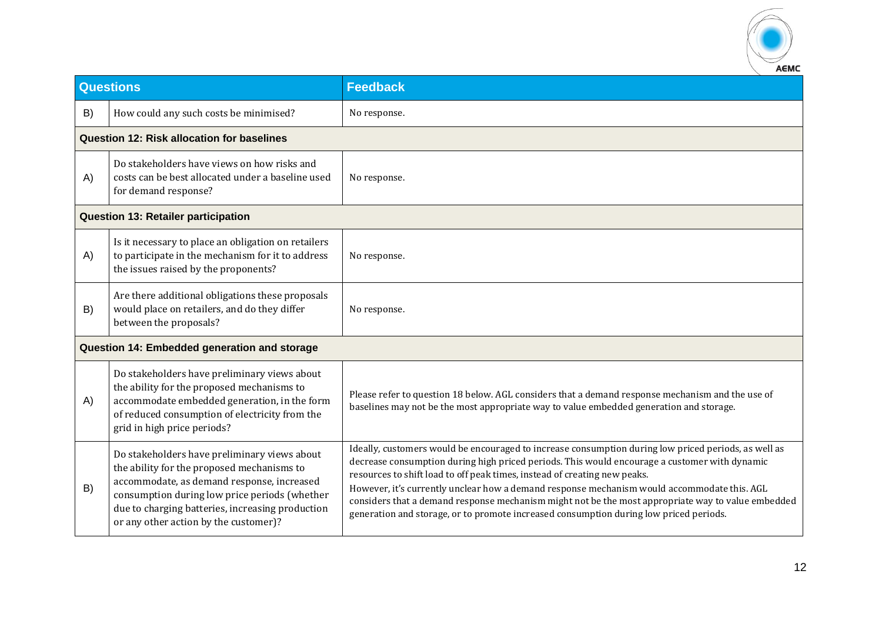

|    | <b>Questions</b>                                                                                                                                                                                                                                                                       | <b>Feedback</b>                                                                                                                                                                                                                                                                                                                                                                                                                                                                                                                                                                   |  |
|----|----------------------------------------------------------------------------------------------------------------------------------------------------------------------------------------------------------------------------------------------------------------------------------------|-----------------------------------------------------------------------------------------------------------------------------------------------------------------------------------------------------------------------------------------------------------------------------------------------------------------------------------------------------------------------------------------------------------------------------------------------------------------------------------------------------------------------------------------------------------------------------------|--|
| B) | How could any such costs be minimised?                                                                                                                                                                                                                                                 | No response.                                                                                                                                                                                                                                                                                                                                                                                                                                                                                                                                                                      |  |
|    | <b>Question 12: Risk allocation for baselines</b>                                                                                                                                                                                                                                      |                                                                                                                                                                                                                                                                                                                                                                                                                                                                                                                                                                                   |  |
| A) | Do stakeholders have views on how risks and<br>costs can be best allocated under a baseline used<br>for demand response?                                                                                                                                                               | No response.                                                                                                                                                                                                                                                                                                                                                                                                                                                                                                                                                                      |  |
|    | <b>Question 13: Retailer participation</b>                                                                                                                                                                                                                                             |                                                                                                                                                                                                                                                                                                                                                                                                                                                                                                                                                                                   |  |
| A) | Is it necessary to place an obligation on retailers<br>to participate in the mechanism for it to address<br>the issues raised by the proponents?                                                                                                                                       | No response.                                                                                                                                                                                                                                                                                                                                                                                                                                                                                                                                                                      |  |
| B) | Are there additional obligations these proposals<br>would place on retailers, and do they differ<br>between the proposals?                                                                                                                                                             | No response.                                                                                                                                                                                                                                                                                                                                                                                                                                                                                                                                                                      |  |
|    | Question 14: Embedded generation and storage                                                                                                                                                                                                                                           |                                                                                                                                                                                                                                                                                                                                                                                                                                                                                                                                                                                   |  |
| A) | Do stakeholders have preliminary views about<br>the ability for the proposed mechanisms to<br>accommodate embedded generation, in the form<br>of reduced consumption of electricity from the<br>grid in high price periods?                                                            | Please refer to question 18 below. AGL considers that a demand response mechanism and the use of<br>baselines may not be the most appropriate way to value embedded generation and storage.                                                                                                                                                                                                                                                                                                                                                                                       |  |
| B) | Do stakeholders have preliminary views about<br>the ability for the proposed mechanisms to<br>accommodate, as demand response, increased<br>consumption during low price periods (whether<br>due to charging batteries, increasing production<br>or any other action by the customer)? | Ideally, customers would be encouraged to increase consumption during low priced periods, as well as<br>decrease consumption during high priced periods. This would encourage a customer with dynamic<br>resources to shift load to off peak times, instead of creating new peaks.<br>However, it's currently unclear how a demand response mechanism would accommodate this. AGL<br>considers that a demand response mechanism might not be the most appropriate way to value embedded<br>generation and storage, or to promote increased consumption during low priced periods. |  |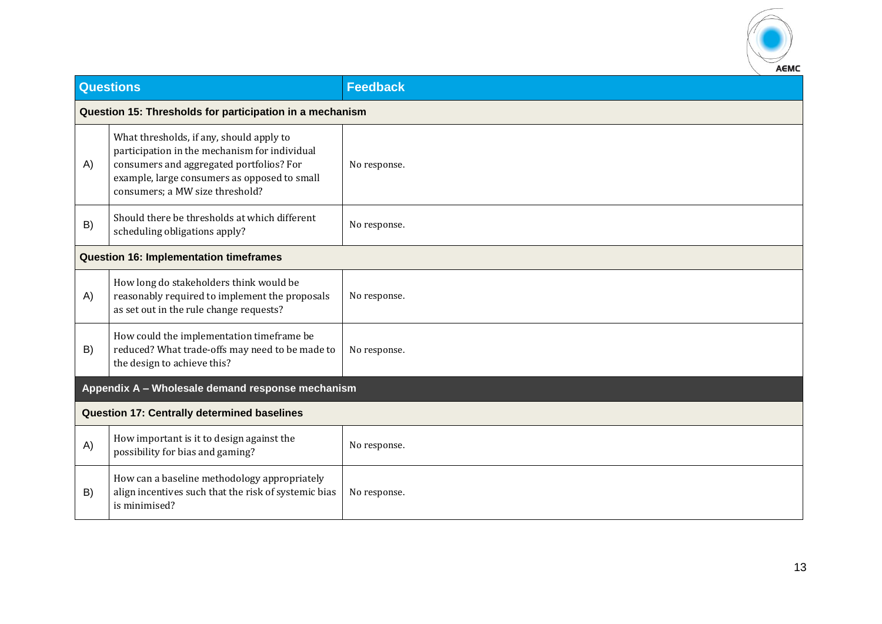

|    | <b>Questions</b>                                                                                                                                                                                                         | <b>Feedback</b> |  |
|----|--------------------------------------------------------------------------------------------------------------------------------------------------------------------------------------------------------------------------|-----------------|--|
|    | Question 15: Thresholds for participation in a mechanism                                                                                                                                                                 |                 |  |
| A) | What thresholds, if any, should apply to<br>participation in the mechanism for individual<br>consumers and aggregated portfolios? For<br>example, large consumers as opposed to small<br>consumers; a MW size threshold? | No response.    |  |
| B) | Should there be thresholds at which different<br>scheduling obligations apply?                                                                                                                                           | No response.    |  |
|    | <b>Question 16: Implementation timeframes</b>                                                                                                                                                                            |                 |  |
| A) | How long do stakeholders think would be<br>reasonably required to implement the proposals<br>as set out in the rule change requests?                                                                                     | No response.    |  |
| B) | How could the implementation timeframe be<br>reduced? What trade-offs may need to be made to<br>the design to achieve this?                                                                                              | No response.    |  |
|    | Appendix A - Wholesale demand response mechanism                                                                                                                                                                         |                 |  |
|    | <b>Question 17: Centrally determined baselines</b>                                                                                                                                                                       |                 |  |
| A) | How important is it to design against the<br>possibility for bias and gaming?                                                                                                                                            | No response.    |  |
| B) | How can a baseline methodology appropriately<br>align incentives such that the risk of systemic bias<br>is minimised?                                                                                                    | No response.    |  |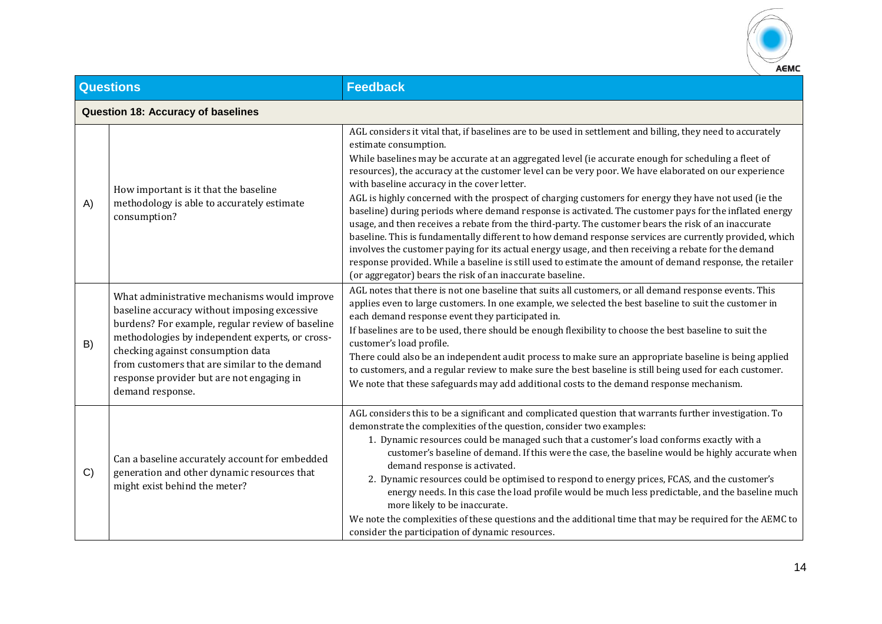

| <b>Questions</b> |                                                                                                                                                                                                                                                                                                                                                            | <b>Feedback</b>                                                                                                                                                                                                                                                                                                                                                                                                                                                                                                                                                                                                                                                                                                                                                                                                                                                                                                                                                                                                                                                                                                              |
|------------------|------------------------------------------------------------------------------------------------------------------------------------------------------------------------------------------------------------------------------------------------------------------------------------------------------------------------------------------------------------|------------------------------------------------------------------------------------------------------------------------------------------------------------------------------------------------------------------------------------------------------------------------------------------------------------------------------------------------------------------------------------------------------------------------------------------------------------------------------------------------------------------------------------------------------------------------------------------------------------------------------------------------------------------------------------------------------------------------------------------------------------------------------------------------------------------------------------------------------------------------------------------------------------------------------------------------------------------------------------------------------------------------------------------------------------------------------------------------------------------------------|
|                  | <b>Question 18: Accuracy of baselines</b>                                                                                                                                                                                                                                                                                                                  |                                                                                                                                                                                                                                                                                                                                                                                                                                                                                                                                                                                                                                                                                                                                                                                                                                                                                                                                                                                                                                                                                                                              |
| A)               | How important is it that the baseline<br>methodology is able to accurately estimate<br>consumption?                                                                                                                                                                                                                                                        | AGL considers it vital that, if baselines are to be used in settlement and billing, they need to accurately<br>estimate consumption.<br>While baselines may be accurate at an aggregated level (ie accurate enough for scheduling a fleet of<br>resources), the accuracy at the customer level can be very poor. We have elaborated on our experience<br>with baseline accuracy in the cover letter.<br>AGL is highly concerned with the prospect of charging customers for energy they have not used (ie the<br>baseline) during periods where demand response is activated. The customer pays for the inflated energy<br>usage, and then receives a rebate from the third-party. The customer bears the risk of an inaccurate<br>baseline. This is fundamentally different to how demand response services are currently provided, which<br>involves the customer paying for its actual energy usage, and then receiving a rebate for the demand<br>response provided. While a baseline is still used to estimate the amount of demand response, the retailer<br>(or aggregator) bears the risk of an inaccurate baseline. |
| B)               | What administrative mechanisms would improve<br>baseline accuracy without imposing excessive<br>burdens? For example, regular review of baseline<br>methodologies by independent experts, or cross-<br>checking against consumption data<br>from customers that are similar to the demand<br>response provider but are not engaging in<br>demand response. | AGL notes that there is not one baseline that suits all customers, or all demand response events. This<br>applies even to large customers. In one example, we selected the best baseline to suit the customer in<br>each demand response event they participated in.<br>If baselines are to be used, there should be enough flexibility to choose the best baseline to suit the<br>customer's load profile.<br>There could also be an independent audit process to make sure an appropriate baseline is being applied<br>to customers, and a regular review to make sure the best baseline is still being used for each customer.<br>We note that these safeguards may add additional costs to the demand response mechanism.                                                                                                                                                                                                                                                                                                                                                                                                |
| C)               | Can a baseline accurately account for embedded<br>generation and other dynamic resources that<br>might exist behind the meter?                                                                                                                                                                                                                             | AGL considers this to be a significant and complicated question that warrants further investigation. To<br>demonstrate the complexities of the question, consider two examples:<br>1. Dynamic resources could be managed such that a customer's load conforms exactly with a<br>customer's baseline of demand. If this were the case, the baseline would be highly accurate when<br>demand response is activated.<br>2. Dynamic resources could be optimised to respond to energy prices, FCAS, and the customer's<br>energy needs. In this case the load profile would be much less predictable, and the baseline much<br>more likely to be inaccurate.<br>We note the complexities of these questions and the additional time that may be required for the AEMC to<br>consider the participation of dynamic resources.                                                                                                                                                                                                                                                                                                     |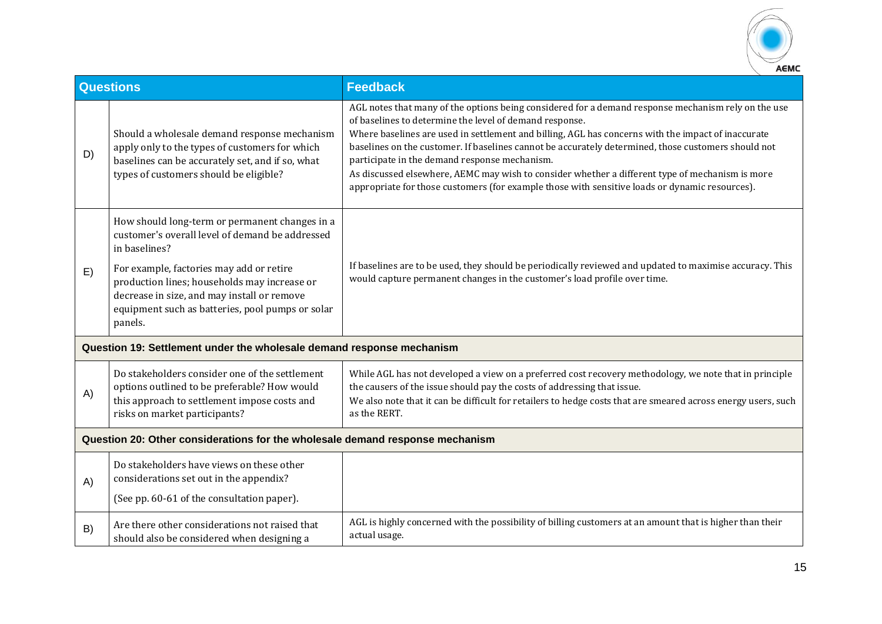

|    | <b>Questions</b>                                                                                                                                                                                                                                                                                                             | <b>Feedback</b>                                                                                                                                                                                                                                                                                                                                                                                                                                                                                                                                                                                                                   |
|----|------------------------------------------------------------------------------------------------------------------------------------------------------------------------------------------------------------------------------------------------------------------------------------------------------------------------------|-----------------------------------------------------------------------------------------------------------------------------------------------------------------------------------------------------------------------------------------------------------------------------------------------------------------------------------------------------------------------------------------------------------------------------------------------------------------------------------------------------------------------------------------------------------------------------------------------------------------------------------|
| D) | Should a wholesale demand response mechanism<br>apply only to the types of customers for which<br>baselines can be accurately set, and if so, what<br>types of customers should be eligible?                                                                                                                                 | AGL notes that many of the options being considered for a demand response mechanism rely on the use<br>of baselines to determine the level of demand response.<br>Where baselines are used in settlement and billing, AGL has concerns with the impact of inaccurate<br>baselines on the customer. If baselines cannot be accurately determined, those customers should not<br>participate in the demand response mechanism.<br>As discussed elsewhere, AEMC may wish to consider whether a different type of mechanism is more<br>appropriate for those customers (for example those with sensitive loads or dynamic resources). |
| E) | How should long-term or permanent changes in a<br>customer's overall level of demand be addressed<br>in baselines?<br>For example, factories may add or retire<br>production lines; households may increase or<br>decrease in size, and may install or remove<br>equipment such as batteries, pool pumps or solar<br>panels. | If baselines are to be used, they should be periodically reviewed and updated to maximise accuracy. This<br>would capture permanent changes in the customer's load profile over time.                                                                                                                                                                                                                                                                                                                                                                                                                                             |
|    | Question 19: Settlement under the wholesale demand response mechanism                                                                                                                                                                                                                                                        |                                                                                                                                                                                                                                                                                                                                                                                                                                                                                                                                                                                                                                   |
| A) | Do stakeholders consider one of the settlement<br>options outlined to be preferable? How would<br>this approach to settlement impose costs and<br>risks on market participants?                                                                                                                                              | While AGL has not developed a view on a preferred cost recovery methodology, we note that in principle<br>the causers of the issue should pay the costs of addressing that issue.<br>We also note that it can be difficult for retailers to hedge costs that are smeared across energy users, such<br>as the RERT.                                                                                                                                                                                                                                                                                                                |
|    | Question 20: Other considerations for the wholesale demand response mechanism                                                                                                                                                                                                                                                |                                                                                                                                                                                                                                                                                                                                                                                                                                                                                                                                                                                                                                   |
| A) | Do stakeholders have views on these other<br>considerations set out in the appendix?<br>(See pp. 60-61 of the consultation paper).                                                                                                                                                                                           |                                                                                                                                                                                                                                                                                                                                                                                                                                                                                                                                                                                                                                   |
| B) | Are there other considerations not raised that<br>should also be considered when designing a                                                                                                                                                                                                                                 | AGL is highly concerned with the possibility of billing customers at an amount that is higher than their<br>actual usage.                                                                                                                                                                                                                                                                                                                                                                                                                                                                                                         |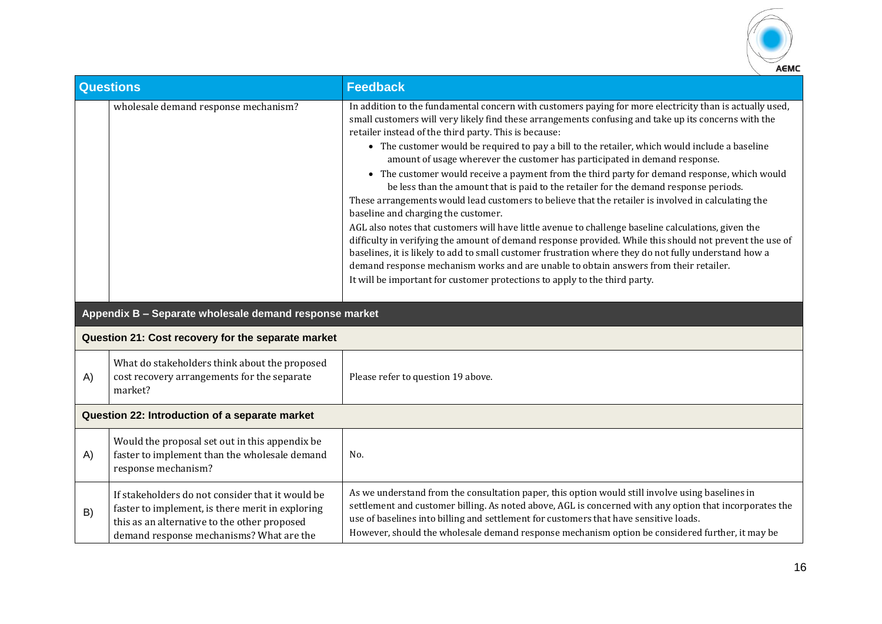

| <b>Questions</b> |                                                                                                                                                                                                  | <b>Feedback</b>                                                                                                                                                                                                                                                                                                                                                                                                                                                                                                                                                                                                                                                                                                                                                                                                                                                                                                                                                                                                                                                                                                                                                                                                                                                                                     |  |
|------------------|--------------------------------------------------------------------------------------------------------------------------------------------------------------------------------------------------|-----------------------------------------------------------------------------------------------------------------------------------------------------------------------------------------------------------------------------------------------------------------------------------------------------------------------------------------------------------------------------------------------------------------------------------------------------------------------------------------------------------------------------------------------------------------------------------------------------------------------------------------------------------------------------------------------------------------------------------------------------------------------------------------------------------------------------------------------------------------------------------------------------------------------------------------------------------------------------------------------------------------------------------------------------------------------------------------------------------------------------------------------------------------------------------------------------------------------------------------------------------------------------------------------------|--|
|                  | wholesale demand response mechanism?                                                                                                                                                             | In addition to the fundamental concern with customers paying for more electricity than is actually used,<br>small customers will very likely find these arrangements confusing and take up its concerns with the<br>retailer instead of the third party. This is because:<br>• The customer would be required to pay a bill to the retailer, which would include a baseline<br>amount of usage wherever the customer has participated in demand response.<br>• The customer would receive a payment from the third party for demand response, which would<br>be less than the amount that is paid to the retailer for the demand response periods.<br>These arrangements would lead customers to believe that the retailer is involved in calculating the<br>baseline and charging the customer.<br>AGL also notes that customers will have little avenue to challenge baseline calculations, given the<br>difficulty in verifying the amount of demand response provided. While this should not prevent the use of<br>baselines, it is likely to add to small customer frustration where they do not fully understand how a<br>demand response mechanism works and are unable to obtain answers from their retailer.<br>It will be important for customer protections to apply to the third party. |  |
|                  | Appendix B - Separate wholesale demand response market                                                                                                                                           |                                                                                                                                                                                                                                                                                                                                                                                                                                                                                                                                                                                                                                                                                                                                                                                                                                                                                                                                                                                                                                                                                                                                                                                                                                                                                                     |  |
|                  | Question 21: Cost recovery for the separate market                                                                                                                                               |                                                                                                                                                                                                                                                                                                                                                                                                                                                                                                                                                                                                                                                                                                                                                                                                                                                                                                                                                                                                                                                                                                                                                                                                                                                                                                     |  |
| A)               | What do stakeholders think about the proposed<br>cost recovery arrangements for the separate<br>market?                                                                                          | Please refer to question 19 above.                                                                                                                                                                                                                                                                                                                                                                                                                                                                                                                                                                                                                                                                                                                                                                                                                                                                                                                                                                                                                                                                                                                                                                                                                                                                  |  |
|                  | Question 22: Introduction of a separate market                                                                                                                                                   |                                                                                                                                                                                                                                                                                                                                                                                                                                                                                                                                                                                                                                                                                                                                                                                                                                                                                                                                                                                                                                                                                                                                                                                                                                                                                                     |  |
| A)               | Would the proposal set out in this appendix be<br>faster to implement than the wholesale demand<br>response mechanism?                                                                           | No.                                                                                                                                                                                                                                                                                                                                                                                                                                                                                                                                                                                                                                                                                                                                                                                                                                                                                                                                                                                                                                                                                                                                                                                                                                                                                                 |  |
| B)               | If stakeholders do not consider that it would be<br>faster to implement, is there merit in exploring<br>this as an alternative to the other proposed<br>demand response mechanisms? What are the | As we understand from the consultation paper, this option would still involve using baselines in<br>settlement and customer billing. As noted above, AGL is concerned with any option that incorporates the<br>use of baselines into billing and settlement for customers that have sensitive loads.<br>However, should the wholesale demand response mechanism option be considered further, it may be                                                                                                                                                                                                                                                                                                                                                                                                                                                                                                                                                                                                                                                                                                                                                                                                                                                                                             |  |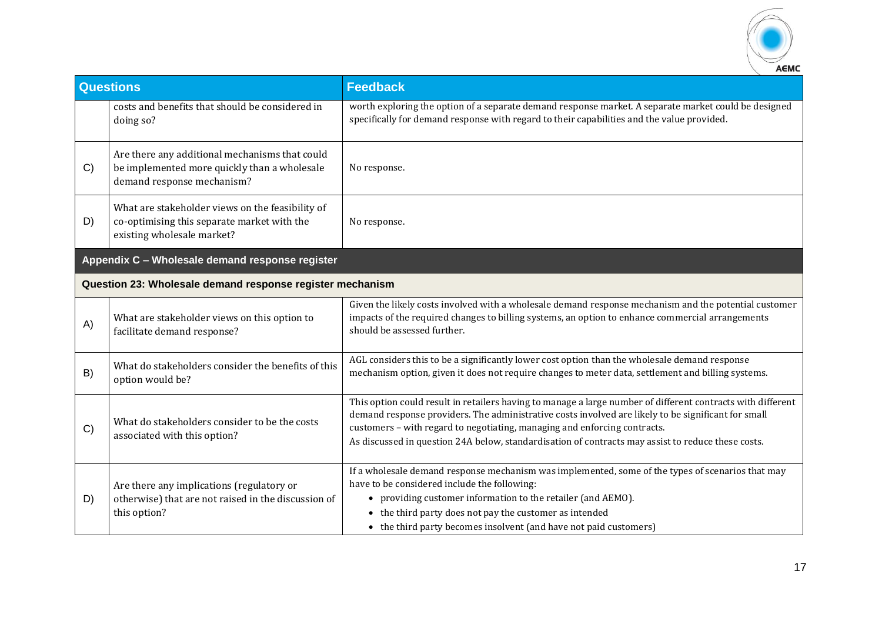

| <b>Questions</b> |                                                                                                                               | <b>Feedback</b>                                                                                                                                                                                                                                                                                                                                                                                       |
|------------------|-------------------------------------------------------------------------------------------------------------------------------|-------------------------------------------------------------------------------------------------------------------------------------------------------------------------------------------------------------------------------------------------------------------------------------------------------------------------------------------------------------------------------------------------------|
|                  | costs and benefits that should be considered in<br>doing so?                                                                  | worth exploring the option of a separate demand response market. A separate market could be designed<br>specifically for demand response with regard to their capabilities and the value provided.                                                                                                                                                                                                    |
| C)               | Are there any additional mechanisms that could<br>be implemented more quickly than a wholesale<br>demand response mechanism?  | No response.                                                                                                                                                                                                                                                                                                                                                                                          |
| D)               | What are stakeholder views on the feasibility of<br>co-optimising this separate market with the<br>existing wholesale market? | No response.                                                                                                                                                                                                                                                                                                                                                                                          |
|                  | Appendix C - Wholesale demand response register                                                                               |                                                                                                                                                                                                                                                                                                                                                                                                       |
|                  | Question 23: Wholesale demand response register mechanism                                                                     |                                                                                                                                                                                                                                                                                                                                                                                                       |
| A)               | What are stakeholder views on this option to<br>facilitate demand response?                                                   | Given the likely costs involved with a wholesale demand response mechanism and the potential customer<br>impacts of the required changes to billing systems, an option to enhance commercial arrangements<br>should be assessed further.                                                                                                                                                              |
| B)               | What do stakeholders consider the benefits of this<br>option would be?                                                        | AGL considers this to be a significantly lower cost option than the wholesale demand response<br>mechanism option, given it does not require changes to meter data, settlement and billing systems.                                                                                                                                                                                                   |
| C)               | What do stakeholders consider to be the costs<br>associated with this option?                                                 | This option could result in retailers having to manage a large number of different contracts with different<br>demand response providers. The administrative costs involved are likely to be significant for small<br>customers - with regard to negotiating, managing and enforcing contracts.<br>As discussed in question 24A below, standardisation of contracts may assist to reduce these costs. |
| D)               | Are there any implications (regulatory or<br>otherwise) that are not raised in the discussion of<br>this option?              | If a wholesale demand response mechanism was implemented, some of the types of scenarios that may<br>have to be considered include the following:<br>• providing customer information to the retailer (and AEMO).<br>• the third party does not pay the customer as intended<br>• the third party becomes insolvent (and have not paid customers)                                                     |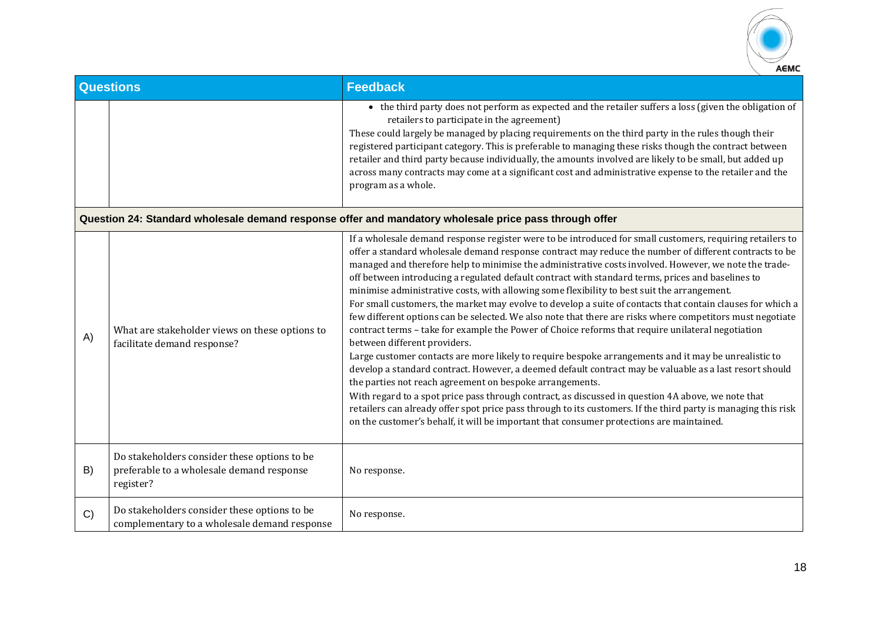

| <b>Questions</b>                                                                                       |                                                                                                        | <b>Feedback</b>                                                                                                                                                                                                                                                                                                                                                                                                                                                                                                                                                                                                                                                                                                                                                                                                                                                                                                                                                                                                                                                                                                                                                                                                                                                                                                                                                                                                                                                                                     |  |
|--------------------------------------------------------------------------------------------------------|--------------------------------------------------------------------------------------------------------|-----------------------------------------------------------------------------------------------------------------------------------------------------------------------------------------------------------------------------------------------------------------------------------------------------------------------------------------------------------------------------------------------------------------------------------------------------------------------------------------------------------------------------------------------------------------------------------------------------------------------------------------------------------------------------------------------------------------------------------------------------------------------------------------------------------------------------------------------------------------------------------------------------------------------------------------------------------------------------------------------------------------------------------------------------------------------------------------------------------------------------------------------------------------------------------------------------------------------------------------------------------------------------------------------------------------------------------------------------------------------------------------------------------------------------------------------------------------------------------------------------|--|
|                                                                                                        |                                                                                                        | • the third party does not perform as expected and the retailer suffers a loss (given the obligation of<br>retailers to participate in the agreement)<br>These could largely be managed by placing requirements on the third party in the rules though their<br>registered participant category. This is preferable to managing these risks though the contract between<br>retailer and third party because individually, the amounts involved are likely to be small, but added up<br>across many contracts may come at a significant cost and administrative expense to the retailer and the<br>program as a whole.                                                                                                                                                                                                                                                                                                                                                                                                                                                                                                                                                                                                                                                                                                                                                                                                                                                                               |  |
| Question 24: Standard wholesale demand response offer and mandatory wholesale price pass through offer |                                                                                                        |                                                                                                                                                                                                                                                                                                                                                                                                                                                                                                                                                                                                                                                                                                                                                                                                                                                                                                                                                                                                                                                                                                                                                                                                                                                                                                                                                                                                                                                                                                     |  |
| A)                                                                                                     | What are stakeholder views on these options to<br>facilitate demand response?                          | If a wholesale demand response register were to be introduced for small customers, requiring retailers to<br>offer a standard wholesale demand response contract may reduce the number of different contracts to be<br>managed and therefore help to minimise the administrative costs involved. However, we note the trade-<br>off between introducing a regulated default contract with standard terms, prices and baselines to<br>minimise administrative costs, with allowing some flexibility to best suit the arrangement.<br>For small customers, the market may evolve to develop a suite of contacts that contain clauses for which a<br>few different options can be selected. We also note that there are risks where competitors must negotiate<br>contract terms - take for example the Power of Choice reforms that require unilateral negotiation<br>between different providers.<br>Large customer contacts are more likely to require bespoke arrangements and it may be unrealistic to<br>develop a standard contract. However, a deemed default contract may be valuable as a last resort should<br>the parties not reach agreement on bespoke arrangements.<br>With regard to a spot price pass through contract, as discussed in question 4A above, we note that<br>retailers can already offer spot price pass through to its customers. If the third party is managing this risk<br>on the customer's behalf, it will be important that consumer protections are maintained. |  |
| B)                                                                                                     | Do stakeholders consider these options to be<br>preferable to a wholesale demand response<br>register? | No response.                                                                                                                                                                                                                                                                                                                                                                                                                                                                                                                                                                                                                                                                                                                                                                                                                                                                                                                                                                                                                                                                                                                                                                                                                                                                                                                                                                                                                                                                                        |  |
| C)                                                                                                     | Do stakeholders consider these options to be<br>complementary to a wholesale demand response           | No response.                                                                                                                                                                                                                                                                                                                                                                                                                                                                                                                                                                                                                                                                                                                                                                                                                                                                                                                                                                                                                                                                                                                                                                                                                                                                                                                                                                                                                                                                                        |  |